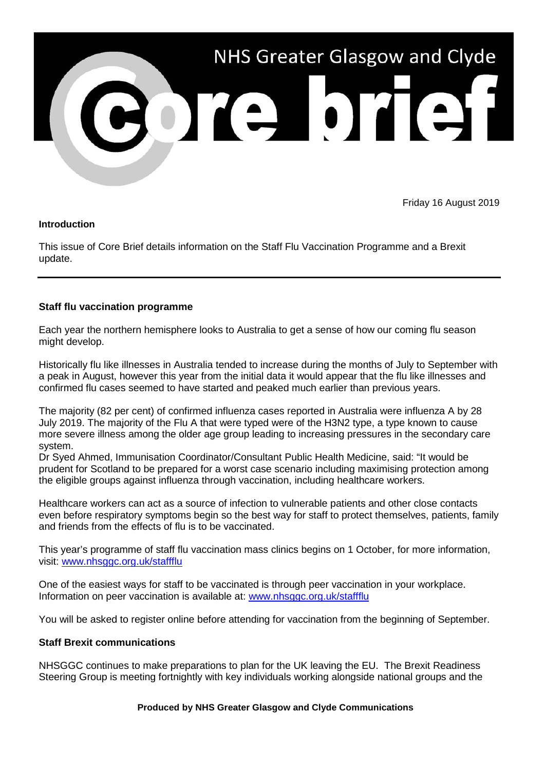

Friday 16 August 2019

### **Introduction**

This issue of Core Brief details information on the Staff Flu Vaccination Programme and a Brexit update.

# **Staff flu vaccination programme**

Each year the northern hemisphere looks to Australia to get a sense of how our coming flu season might develop.

Historically flu like illnesses in Australia tended to increase during the months of July to September with a peak in August, however this year from the initial data it would appear that the flu like illnesses and confirmed flu cases seemed to have started and peaked much earlier than previous years.

The majority (82 per cent) of confirmed influenza cases reported in Australia were influenza A by 28 July 2019. The majority of the Flu A that were typed were of the H3N2 type, a type known to cause more severe illness among the older age group leading to increasing pressures in the secondary care system.

Dr Syed Ahmed, Immunisation Coordinator/Consultant Public Health Medicine, said: "It would be prudent for Scotland to be prepared for a worst case scenario including maximising protection among the eligible groups against influenza through vaccination, including healthcare workers.

Healthcare workers can act as a source of infection to vulnerable patients and other close contacts even before respiratory symptoms begin so the best way for staff to protect themselves, patients, family and friends from the effects of flu is to be vaccinated.

This year's programme of staff flu vaccination mass clinics begins on 1 October, for more information, visit: [www.nhsggc.org.uk/staffflu](http://www.nhsggc.org.uk/staffflu)

One of the easiest ways for staff to be vaccinated is through peer vaccination in your workplace. Information on peer vaccination is available at: [www.nhsggc.org.uk/staffflu](http://www.nhsggc.org.uk/staffflu)

You will be asked to register online before attending for vaccination from the beginning of September.

# **Staff Brexit communications**

NHSGGC continues to make preparations to plan for the UK leaving the EU. The Brexit Readiness Steering Group is meeting fortnightly with key individuals working alongside national groups and the

#### **Produced by NHS Greater Glasgow and Clyde Communications**